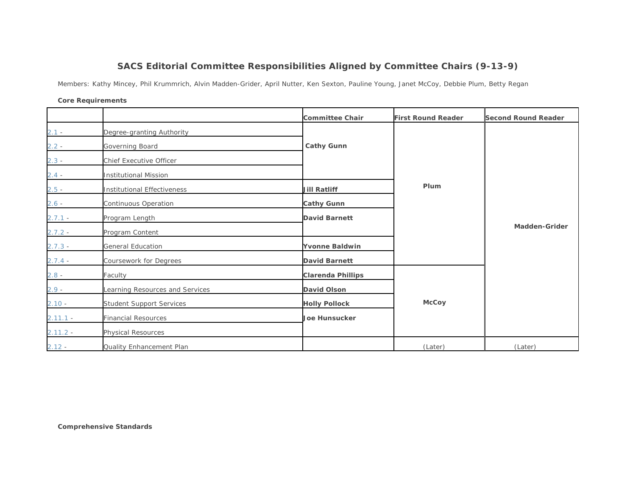## **SACS Editorial Committee Responsibilities Aligned by Committee Chairs (9-13-9)**

Members: Kathy Mincey, Phil Krummrich, Alvin Madden-Grider, April Nutter, Ken Sexton, Pauline Young, Janet McCoy, Debbie Plum, Betty Regan

## **Core Requirements**

|            |                                 | <b>Committee Chair</b>   | <b>First Round Reader</b> | <b>Second Round Reader</b> |
|------------|---------------------------------|--------------------------|---------------------------|----------------------------|
| $2.1 -$    | Degree-granting Authority       |                          |                           |                            |
| $2.2 -$    | Governing Board                 | <b>Cathy Gunn</b>        |                           |                            |
| $2.3 -$    | Chief Executive Officer         |                          |                           |                            |
| $2.4 -$    | <b>Institutional Mission</b>    |                          |                           |                            |
| $2.5 -$    | Institutional Effectiveness     | <b>Jill Ratliff</b>      | Plum                      |                            |
| $2.6 -$    | Continuous Operation            | <b>Cathy Gunn</b>        |                           |                            |
| $2.7.1 -$  | Program Length                  | <b>David Barnett</b>     |                           |                            |
| $2.7.2 -$  | Program Content                 |                          |                           | <b>Madden-Grider</b>       |
| $2.7.3 -$  | <b>General Education</b>        | <b>Yvonne Baldwin</b>    |                           |                            |
| $2.7.4 -$  | Coursework for Degrees          | <b>David Barnett</b>     |                           |                            |
| $2.8 -$    | Faculty                         | <b>Clarenda Phillips</b> |                           |                            |
| $2.9 -$    | Learning Resources and Services | David Olson              |                           |                            |
| $2.10 -$   | <b>Student Support Services</b> | <b>Holly Pollock</b>     | <b>McCoy</b>              |                            |
| $2.11.1 -$ | <b>Financial Resources</b>      | <b>Joe Hunsucker</b>     |                           |                            |
| $2.11.2 -$ | <b>Physical Resources</b>       |                          |                           |                            |
| $2.12 -$   | Quality Enhancement Plan        |                          | (Later)                   | (Later)                    |

**Comprehensive Standards**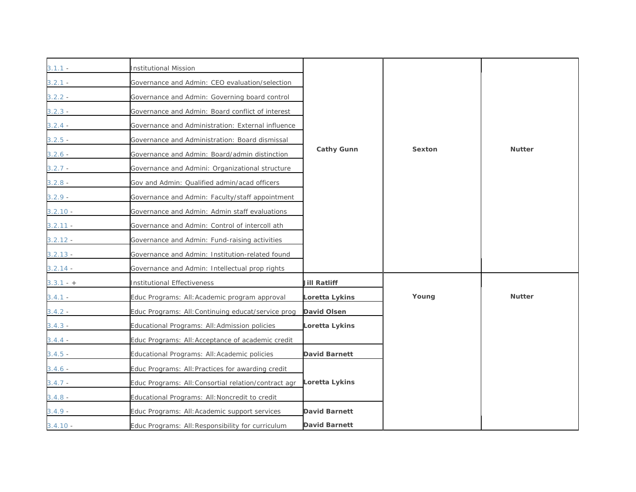| $3.1.1 -$   | <b>Institutional Mission</b>                         |                      |        |               |
|-------------|------------------------------------------------------|----------------------|--------|---------------|
| $3.2.1 -$   | Governance and Admin: CEO evaluation/selection       |                      |        |               |
| $3.2.2 -$   | Governance and Admin: Governing board control        |                      |        |               |
| $3.2.3 -$   | Governance and Admin: Board conflict of interest     |                      |        |               |
| $3.2.4 -$   | Governance and Administration: External influence    |                      |        |               |
| $3.2.5 -$   | Governance and Administration: Board dismissal       |                      |        |               |
| $3.2.6 -$   | Governance and Admin: Board/admin distinction        | <b>Cathy Gunn</b>    | Sexton | <b>Nutter</b> |
| $3.2.7 -$   | Governance and Admini: Organizational structure      |                      |        |               |
| $3.2.8 -$   | Gov and Admin: Qualified admin/acad officers         |                      |        |               |
| $3.2.9 -$   | Governance and Admin: Faculty/staff appointment      |                      |        |               |
| $3.2.10 -$  | Governance and Admin: Admin staff evaluations        |                      |        |               |
| $3.2.11 -$  | Governance and Admin: Control of intercoll ath       |                      |        |               |
| $3.2.12 -$  | Governance and Admin: Fund-raising activities        |                      |        |               |
| $3.2.13 -$  | Governance and Admin: Institution-related found      |                      |        |               |
| $3.2.14 -$  | Governance and Admin: Intellectual prop rights       |                      |        |               |
| $3.3.1 - +$ | Institutional Effectiveness                          | <b>Jill Ratliff</b>  |        |               |
| $3.4.1 -$   | Educ Programs: All: Academic program approval        | Loretta Lykins       | Young  | <b>Nutter</b> |
| $3.4.2 -$   | Educ Programs: All: Continuing educat/service prog   | David Olsen          |        |               |
| $3.4.3 -$   | Educational Programs: All: Admission policies        | Loretta Lykins       |        |               |
| $3.4.4 -$   | Educ Programs: All: Acceptance of academic credit    |                      |        |               |
| $3.4.5 -$   | Educational Programs: All: Academic policies         | <b>David Barnett</b> |        |               |
| $3.4.6 -$   | Educ Programs: All: Practices for awarding credit    |                      |        |               |
| $3.4.7 -$   | Educ Programs: All: Consortial relation/contract agr | Loretta Lykins       |        |               |
| $3.4.8 -$   | Educational Programs: All: Noncredit to credit       |                      |        |               |
| $3.4.9 -$   | Educ Programs: All: Academic support services        | <b>David Barnett</b> |        |               |
| $3.4.10 -$  | Educ Programs: All: Responsibility for curriculum    | <b>David Barnett</b> |        |               |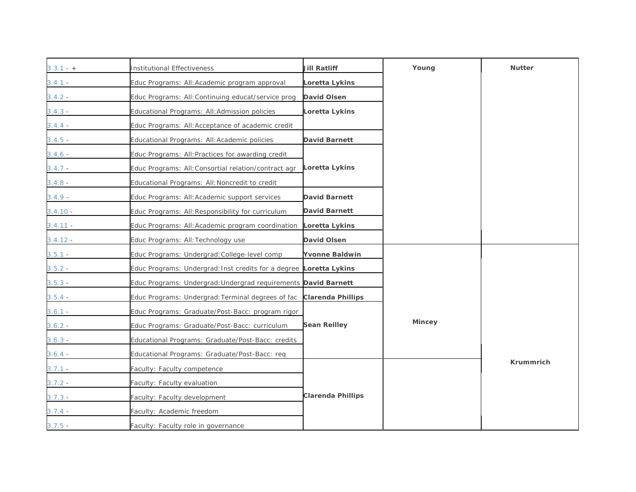| $3.3.1 - +$ | <b>Institutional Effectiveness</b>                                  | Jill Ratliff             | Young         | <b>Nutter</b>    |
|-------------|---------------------------------------------------------------------|--------------------------|---------------|------------------|
| $3.4.1 -$   | Educ Programs: All: Academic program approval                       | Loretta Lykins           |               |                  |
| $3.4.2 -$   | Educ Programs: All: Continuing educat/service prog                  | David Olsen              |               |                  |
| $3.4.3 -$   | Educational Programs: All: Admission policies                       | Loretta Lykins           |               |                  |
| $3.4.4 -$   | Educ Programs: All: Acceptance of academic credit                   |                          |               |                  |
| $3.4.5 -$   | Educational Programs: All: Academic policies                        | David Barnett            |               |                  |
| $3.4.6 -$   | Educ Programs: All: Practices for awarding credit                   |                          |               |                  |
| $3.4.7 -$   | Educ Programs: All: Consortial relation/contract agr                | Loretta Lykins           |               |                  |
| $3.4.8 -$   | Educational Programs: All: Noncredit to credit                      |                          |               |                  |
| $3.4.9 -$   | Educ Programs: All: Academic support services                       | <b>David Barnett</b>     |               |                  |
| $3.4.10 -$  | Educ Programs: All: Responsibility for curriculum                   | <b>David Barnett</b>     |               |                  |
| $3.4.11 -$  | Educ Programs: All: Academic program coordination Loretta Lykins    |                          |               |                  |
| $3.4.12 -$  | Educ Programs: All: Technology use                                  | David Olsen              |               |                  |
| $3.5.1 -$   | Educ Programs: Undergrad: College-level comp                        | <b>Yvonne Baldwin</b>    |               |                  |
| $3.5.2 -$   | Educ Programs: Undergrad: Inst credits for a degree Loretta Lykins  |                          |               |                  |
| $3.5.3 -$   | Educ Programs: Undergrad: Undergrad requirements David Barnett      |                          |               |                  |
| $3.5.4 -$   | Educ Programs: Undergrad: Terminal degrees of fac Clarenda Phillips |                          |               |                  |
| $3.6.1 -$   | Educ Programs: Graduate/Post-Bacc: program rigor                    |                          |               |                  |
| $3.6.2 -$   | Educ Programs: Graduate/Post-Bacc: curriculum                       | <b>Sean Reilley</b>      | <b>Mincey</b> |                  |
| $3.6.3 -$   | Educational Programs: Graduate/Post-Bacc: credits                   |                          |               |                  |
| $3.6.4 -$   | Educational Programs: Graduate/Post-Bacc: req                       |                          |               |                  |
| $3.7.1 -$   | Faculty: Faculty competence                                         |                          |               | <b>Krummrich</b> |
| $3.7.2 -$   | Faculty: Faculty evaluation                                         |                          |               |                  |
| $3.7.3 -$   | Faculty: Faculty development                                        | <b>Clarenda Phillips</b> |               |                  |
| $3.7.4 -$   | Faculty: Academic freedom                                           |                          |               |                  |
| $3.7.5 -$   | Faculty: Faculty role in governance                                 |                          |               |                  |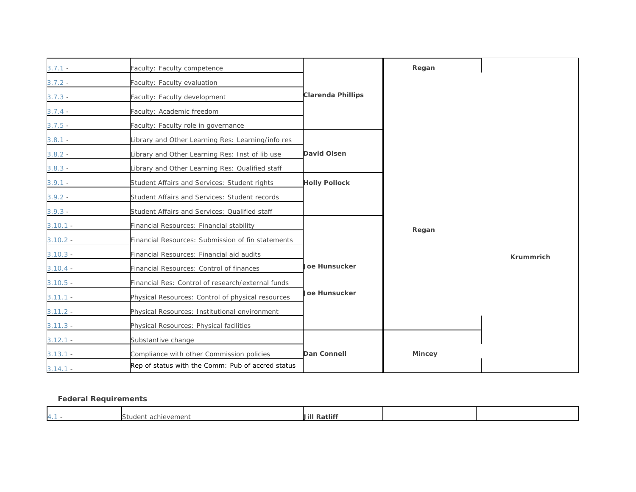| $3.7.1 -$  | Faculty: Faculty competence                       |                          | Regan         |                  |
|------------|---------------------------------------------------|--------------------------|---------------|------------------|
| $3.7.2 -$  | Faculty: Faculty evaluation                       |                          |               |                  |
| $3.7.3 -$  | Faculty: Faculty development                      | <b>Clarenda Phillips</b> |               |                  |
| $3.7.4 -$  | Faculty: Academic freedom                         |                          |               |                  |
| $3.7.5 -$  | Faculty: Faculty role in governance               |                          |               |                  |
| $3.8.1 -$  | Library and Other Learning Res: Learning/info res |                          |               |                  |
| $3.8.2 -$  | Library and Other Learning Res: Inst of lib use   | <b>David Olsen</b>       |               |                  |
| $3.8.3 -$  | Library and Other Learning Res: Qualified staff   |                          |               |                  |
| $3.9.1 -$  | Student Affairs and Services: Student rights      | <b>Holly Pollock</b>     |               |                  |
| $3.9.2 -$  | Student Affairs and Services: Student records     |                          |               |                  |
| $3.9.3 -$  | Student Affairs and Services: Qualified staff     |                          |               |                  |
| $3.10.1 -$ | Financial Resources: Financial stability          |                          | Regan         |                  |
| $3.10.2 -$ | Financial Resources: Submission of fin statements |                          |               |                  |
| $3.10.3 -$ | Financial Resources: Financial aid audits         |                          |               | <b>Krummrich</b> |
| $3.10.4 -$ | Financial Resources: Control of finances          | <b>Joe Hunsucker</b>     |               |                  |
| $3.10.5 -$ | Financial Res: Control of research/external funds |                          |               |                  |
| $3.11.1 -$ | Physical Resources: Control of physical resources | <b>Joe Hunsucker</b>     |               |                  |
| $3.11.2 -$ | Physical Resources: Institutional environment     |                          |               |                  |
| $3.11.3 -$ | Physical Resources: Physical facilities           |                          |               |                  |
| $3.12.1 -$ | Substantive change                                |                          |               |                  |
| $3.13.1 -$ | Compliance with other Commission policies         | <b>Dan Connell</b>       | <b>Mincey</b> |                  |
| $3.14.1 -$ | Rep of status with the Comm: Pub of accred status |                          |               |                  |

## **Federal Requirements**

|  | $\overline{\phantom{0}}$            | $\sim$ $\sim$<br>Jill |  |
|--|-------------------------------------|-----------------------|--|
|  | <sup>+</sup> achievement<br>Student | -Ratlıf.              |  |
|  |                                     |                       |  |